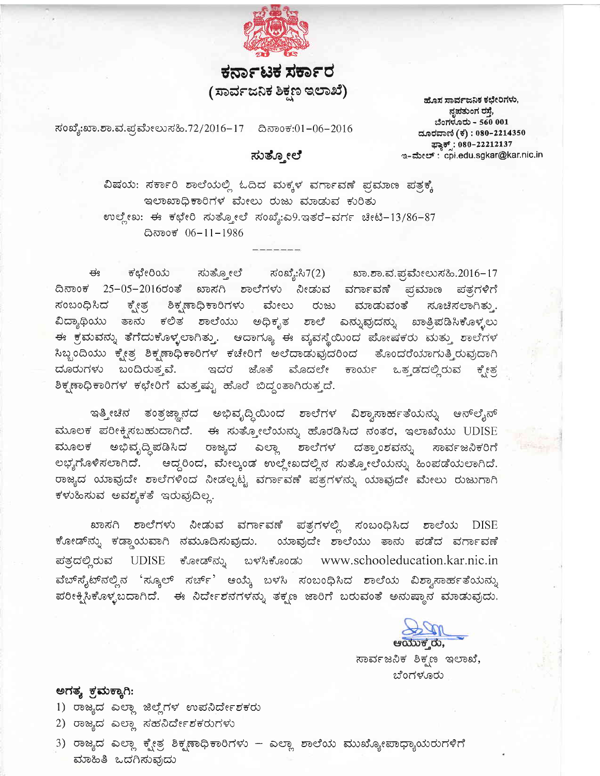

## ಕರ್ನಾಟಕ ಸರ್ಕಾರ (ಸಾರ್ವಜನಿಕ ಶಿಕ್ಷಣ ಇಲಾಖೆ)

ನಂಖ್ಯೆ:ಖಾ.ಶಾ.ವ.ಪ್ರಮೇಲುಸಹಿ.72/2016−17 ದಿನಾಂಕ:01−06−2016

ಸುತ್ತೋಲೆ

ಹೊಸ ಸಾರ್ವಜನಿಕ ಕಛೇರಿಗಳು, ನೃಪತುಂಗ ರಸ್ತೆ, ಬೆಂಗಳೂರು - 560 001 ದೂರವಾಣಿ (ಕ) : 080-2214350 ಫ್ಲಾಕ್ಸ್: 080-22212137 ಇ-ಮೇಲ್: cpi.edu.sgkar@kar.nic.in

ವಿಷಯ: ಸರ್ಕಾರಿ ಶಾಲೆಯಲ್ಲಿ ಓದಿದ ಮಕ್ಕಳ ವರ್ಗಾವಣೆ ಪ್ರಮಾಣ ಪತ್ರಕ್ಕೆ ಇಲಾಖಾಧಿಕಾರಿಗಳ ಮೇಲು ರುಜು ಮಾಡುವ ಕುರಿತು ಉಲ್ಲೇಖ: ಈ ಕಛೇರಿ ಸುತ್ತೋಲೆ ಸಂಖ್ಯೆ:ಎ9.ಇತರೆ-ವರ್ಗ ಚೀಟಿ-13/86-87 ದಿನಾಂಕ 06-11-1986

ಸಂಖ್ಯೆ:ಸಿ7(2) ಖಾ.ಶಾ.ವ.ಪ್ರಮೇಲುಸಹಿ.2016-17 ಈ ಕಛೇರಿಯ ಸುತ್ತೋಲೆ ದಿನಾಂಕ 25-05-2016ರಂತೆ ಖಾಸಗಿ ಶಾಲೆಗಳು ನೀಡುವ ವರ್ಗಾವಣೆ ಪ್ರಮಾಣ ಪತ್ರಗಳಿಗೆ ಕ್ಷೇತ್ರ ಸಂಬಂಧಿಸಿದ ಶಿಕ್ಷಣಾಧಿಕಾರಿಗಳು ಮೇಲು ರುಜು ಮಾಡುವಂತೆ ಸೂಚಿಸಲಾಗಿತು . ವಿದ್ಯಾಥಿಯು ತಾನು ಕಲಿತ ಶಾಲೆಯು ಅಧಿಕೃತ ಶಾಲೆ ಎನ್ನುವುದನ್ನು ಖಾತ್ರಿಪಡಿಸಿಕೊಳ್ಳಲು ಈ ಕ್ರಮವನ್ನು ತೆಗೆದುಕೊಳ್ಳಲಾಗಿತ್ತು. ಆದಾಗ್ಯೂ ಈ ವ್ಯವಸ್ಥೆಯಿಂದ ಪೋಷಕರು ಮತ್ತು ಶಾಲೆಗಳ ಸಿಬ್ಬಂದಿಯು ಕ್ಷೇತ್ರ ಶಿಕ್ಷಣಾಧಿಕಾರಿಗಳ ಕಚೇರಿಗೆ ಅಲೆದಾಡುವುದರಿಂದ ತೊಂದರೆಯಾಗುತ್ತಿರುವುದಾಗಿ ದೂರುಗಳು ಬಂದಿರುತ್ತವೆ. ಇದರ ಜೊತೆ ಮೊದಲೇ ಕಾರ್ಯ ಒತ್ತಡದಲ್ಲಿರುವ ಕ್ಸೇತ್ರ ಶಿಕ್ಷಣಾಧಿಕಾರಿಗಳ ಕಛೇರಿಗೆ ಮತ್ತಷ್ಟು ಹೊರೆ ಬಿದ್ದಂತಾಗಿರುತ್ತದೆ.

ಇತ್ತೀಚಿನ ತಂತ್ರಜ್ಞಾನದ ಅಭಿವೃದ್ಧಿಯಿಂದ ಶಾಲೆಗಳ ವಿಶ್ವಾಸಾರ್ಹತೆಯನ್ನು ಆನ್ಲೈನ್ ಮೂಲಕ ಪರೀಕ್ಷಿಸಬಹುದಾಗಿದೆ. ಈ ಸುತ್ತೋಲೆಯನ್ನು ಹೊರಡಿಸಿದ ನಂತರ, ಇಲಾಖೆಯು UDISE ಮೂಲಕ ಅಭಿವೃದ್ಧಿಪಡಿಸಿದ ರಾಜ್ಯದ ಎಲ್ಲಾ ಶಾಲೆಗಳ ದತ್ತಾಂಶವನ್ನು ಸಾರ್ವಜನಿಕರಿಗೆ ಲಭ್ಯಗೊಳಿಸಲಾಗಿದೆ. ಅದ್ದರಿಂದ, ಮೇಲ್ಕಂಡ ಉಲ್ಲೇಖದಲ್ಲಿನ ಸುತ್ತೋಲೆಯನ್ನು ಹಿಂಪಡೆಯಲಾಗಿದೆ. ರಾಜ್ಯದ ಯಾವುದೇ ಶಾಲೆಗಳಿಂದ ನೀಡಲ್ಬಟ್ಟ ವರ್ಗಾವಣೆ ಪತ್ರಗಳನ್ನು ಯಾವುದೇ ಮೇಲು ರುಜುಗಾಗಿ ಕಳುಹಿಸುವ ಅವಶ್ಯಕತೆ ಇರುವುದಿಲ್ಲ.

ಖಾಸಗಿ ಶಾಲೆಗಳು ನೀಡುವ ವರ್ಗಾವಣೆ ಪತ್ರಗಳಲ್ಲಿ ಸಂಬಂಧಿಸಿದ ಶಾಲೆಯ DISE ಕೋಡ್*ನ್ನು ಕಡ್ಡಾಯವಾಗಿ ನಮೂದಿಸುವುದು. ಯಾವುದೇ* ಶಾಲೆಯು ತಾನು ಪಡೆದ ವರ್ಗಾವಣೆ ಪತ್ರದಲ್ಲಿರುವ UDISE ಕೋಡ್*ನ್ನು* ่อะรัง www.schooleducation.kar.nic.in ವೆಬ್ $\vec{\kappa}_i$ ಟ್ $\vec{\kappa}$ ಲ್ಲಿನ 'ಸ್ಕೂಲ್ ಸರ್ಚ್' ಆಯ್ಕೆ ಬಳಸಿ ಸಂಬಂಧಿಸಿದ ಶಾಲೆಯ ವಿಶ್ವಾಸಾರ್ಹತೆಯನ್ನು ಪರೀಕ್ಶಿಸಿಕೊಳ್ಳಬದಾಗಿದೆ. ಈ ನಿರ್ದೇಶನಗಳನ್ನು ತಕ್ಷಣ ಜಾರಿಗೆ ಬರುವಂತೆ ಅನುಷ್ಠಾನ ಮಾಡುವುದು.



ಸಾರ್ವಜನಿಕ ಶಿಕ್ಷಣ ಇಲಾಖೆ, ಬೆಂಗಳೂರು

## ಅಗತ್ಯ ಕ್ರಮಕ್ಕಾಗಿ:

- 1) ರಾಜ್ಯದ ಎಲ್ಲಾ ಜಿಲ್ಲೆಗಳ ಉಪನಿರ್ದೇಶಕರು
- 2) ರಾಜ್ಯದ ಎಲ್ಲಾ ಸಹನಿರ್ದೇಶಕರುಗಳು
- 3) ರಾಜ್ಯದ ಎಲ್ಲಾ ಕ್ಶೇತ್ರ ಶಿಕ್ಶಣಾಧಿಕಾರಿಗಳು ಎಲ್ಲಾ ಶಾಲೆಯ ಮುಖ್ಯೋಪಾಧ್ಯಾಯರುಗಳಿಗೆ ಮಾಹಿತಿ ಒದಗಿಸುವುದು